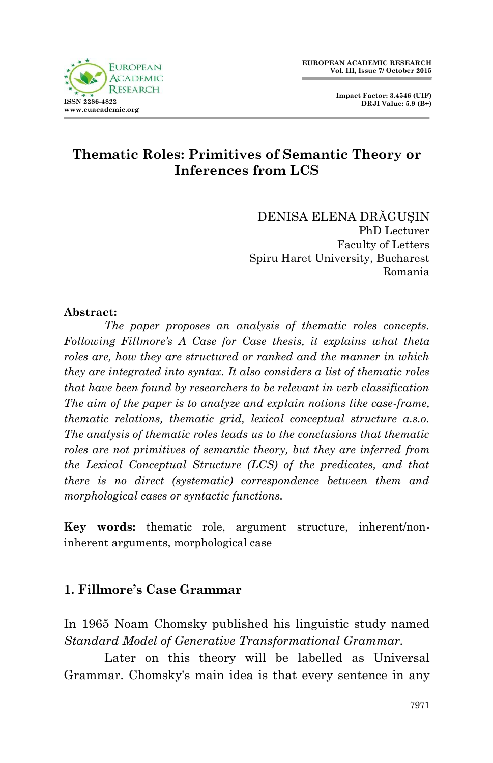

# **Thematic Roles: Primitives of Semantic Theory or Inferences from LCS**

DENISA ELENA DRǍGUŞIN PhD Lecturer Faculty of Letters Spiru Haret University, Bucharest Romania

#### **Abstract:**

*The paper proposes an analysis of thematic roles concepts. Following Fillmore's A Case for Case thesis, it explains what theta roles are, how they are structured or ranked and the manner in which they are integrated into syntax. It also considers a list of thematic roles that have been found by researchers to be relevant in verb classification The aim of the paper is to analyze and explain notions like case-frame, thematic relations, thematic grid, lexical conceptual structure a.s.o. The analysis of thematic roles leads us to the conclusions that thematic roles are not primitives of semantic theory, but they are inferred from the Lexical Conceptual Structure (LCS) of the predicates, and that there is no direct (systematic) correspondence between them and morphological cases or syntactic functions.*

**Key words:** thematic role, argument structure, inherent/noninherent arguments, morphological case

### **1. Fillmore's Case Grammar**

In 1965 Noam Chomsky published his linguistic study named *Standard Model of Generative Transformational Grammar.* 

Later on this theory will be labelled as Universal Grammar. Chomsky's main idea is that every sentence in any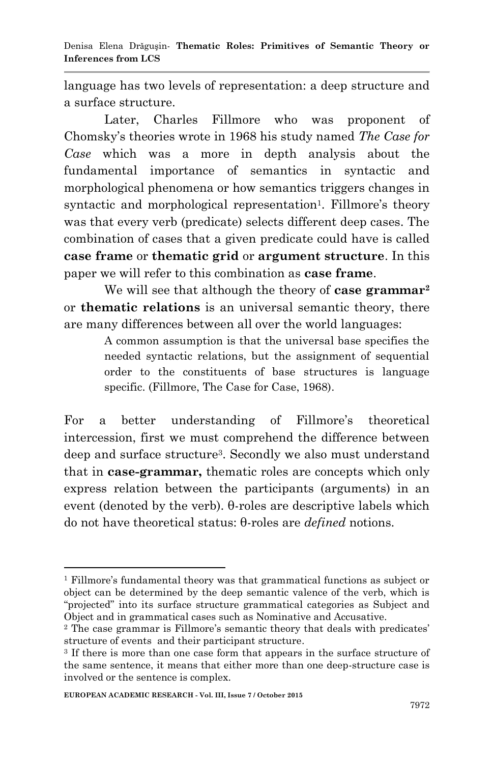language has two levels of representation: a deep structure and a surface structure.

Later, Charles Fillmore who was proponent of Chomsky"s theories wrote in 1968 his study named *The Case for Case* which was a more in depth analysis about the fundamental importance of semantics in syntactic and morphological phenomena or how semantics triggers changes in syntactic and morphological representation<sup>1</sup>. Fillmore's theory was that every verb (predicate) selects different deep cases. The combination of cases that a given predicate could have is called **case frame** or **thematic grid** or **argument structure**. In this paper we will refer to this combination as **case frame**.

We will see that although the theory of **case grammar<sup>2</sup>** or **thematic relations** is an universal semantic theory, there are many differences between all over the world languages:

> A common assumption is that the universal base specifies the needed syntactic relations, but the assignment of sequential order to the constituents of base structures is language specific. (Fillmore, The Case for Case, 1968).

For a better understanding of Fillmore's theoretical intercession, first we must comprehend the difference between deep and surface structure<sup>3</sup>. Secondly we also must understand that in **case-grammar,** thematic roles are concepts which only express relation between the participants (arguments) in an event (denoted by the verb). θ-roles are descriptive labels which do not have theoretical status: θ-roles are *defined* notions.

1

 $1$  Fillmore's fundamental theory was that grammatical functions as subject or object can be determined by the deep semantic valence of the verb, which is "projected" into its surface structure grammatical categories as Subject and Object and in grammatical cases such as Nominative and Accusative.

<sup>&</sup>lt;sup>2</sup> The case grammar is Fillmore's semantic theory that deals with predicates' structure of events and their participant structure.

<sup>3</sup> If there is more than one case form that appears in the surface structure of the same sentence, it means that either more than one deep-structure case is involved or the sentence is complex.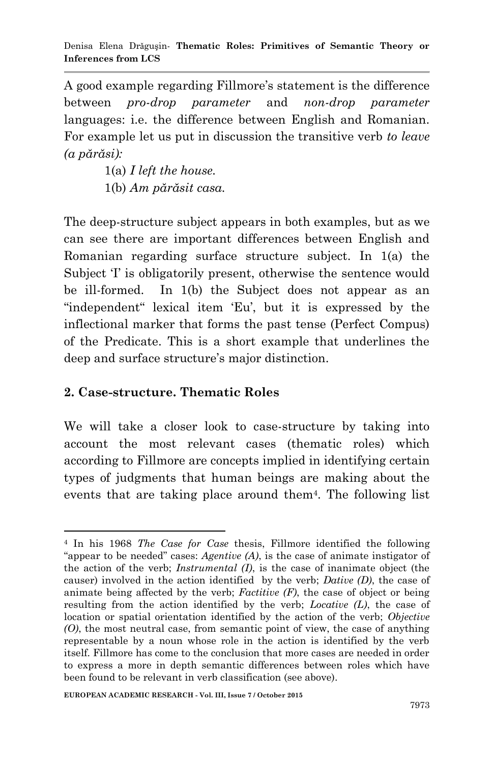A good example regarding Fillmore's statement is the difference between *pro-drop parameter* and *non-drop parameter*  languages: i.e. the difference between English and Romanian. For example let us put in discussion the transitive verb *to leave (a părăsi):*

> 1(a) *I left the house.* 1(b) *Am părăsit casa.*

The deep-structure subject appears in both examples, but as we can see there are important differences between English and Romanian regarding surface structure subject. In 1(a) the Subject T is obligatorily present, otherwise the sentence would be ill-formed. In 1(b) the Subject does not appear as an "independent" lexical item 'Eu', but it is expressed by the inflectional marker that forms the past tense (Perfect Compus) of the Predicate. This is a short example that underlines the deep and surface structure's major distinction.

# **2. Case-structure. Thematic Roles**

We will take a closer look to case-structure by taking into account the most relevant cases (thematic roles) which according to Fillmore are concepts implied in identifying certain types of judgments that human beings are making about the events that are taking place around them<sup>4</sup> . The following list

<sup>-</sup><sup>4</sup> In his 1968 *The Case for Case* thesis, Fillmore identified the following "appear to be needed" cases: *Agentive (A)*, is the case of animate instigator of the action of the verb; *Instrumental (I)*, is the case of inanimate object (the causer) involved in the action identified by the verb; *Dative (D)*, the case of animate being affected by the verb; *Factitive (F)*, the case of object or being resulting from the action identified by the verb; *Locative (L)*, the case of location or spatial orientation identified by the action of the verb; *Objective (O)*, the most neutral case, from semantic point of view, the case of anything representable by a noun whose role in the action is identified by the verb itself. Fillmore has come to the conclusion that more cases are needed in order to express a more in depth semantic differences between roles which have been found to be relevant in verb classification (see above).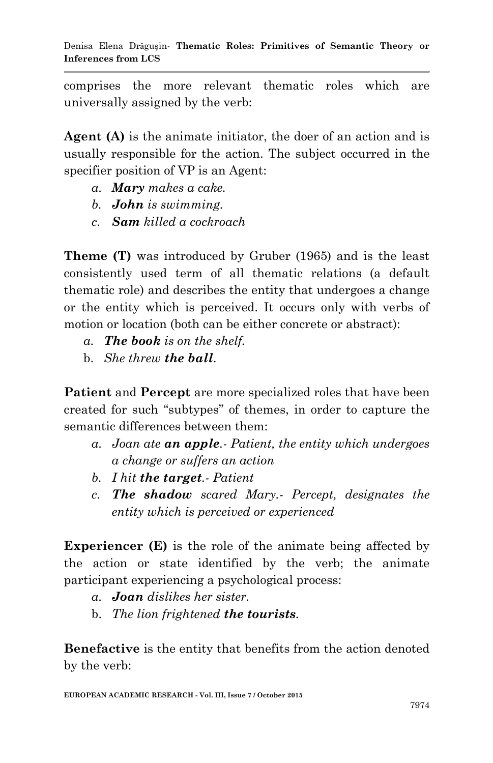comprises the more relevant thematic roles which are universally assigned by the verb:

**Agent (A)** is the animate initiator, the doer of an action and is usually responsible for the action. The subject occurred in the specifier position of VP is an Agent:

- *a. Mary makes a cake.*
- *b. John is swimming.*
- *c. Sam killed a cockroach*

**Theme (T)** was introduced by Gruber (1965) and is the least consistently used term of all thematic relations (a default thematic role) and describes the entity that undergoes a change or the entity which is perceived. It occurs only with verbs of motion or location (both can be either concrete or abstract):

- *a. The book is on the shelf.*
- b. *She threw the ball*.

**Patient** and **Percept** are more specialized roles that have been created for such "subtypes" of themes, in order to capture the semantic differences between them:

- *a. Joan ate an apple.- Patient, the entity which undergoes a change or suffers an action*
- *b. I hit the target.- Patient*
- *c. The shadow scared Mary.- Percept, designates the entity which is perceived or experienced*

**Experiencer (E)** is the role of the animate being affected by the action or state identified by the verb; the animate participant experiencing a psychological process:

- *a. Joan dislikes her sister.*
- b. *The lion frightened the tourists.*

**Benefactive** is the entity that benefits from the action denoted by the verb: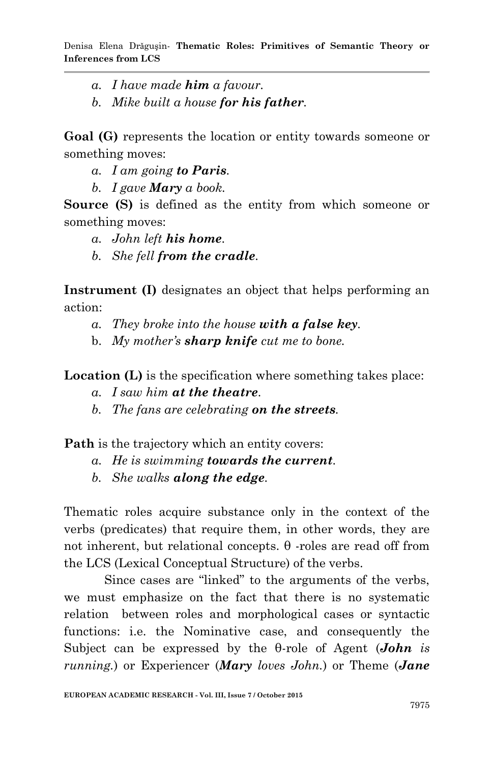- *a. I have made him a favour.*
- *b. Mike built a house for his father.*

**Goal (G)** represents the location or entity towards someone or something moves:

- *a. I am going to Paris.*
- *b. I gave Mary a book.*

**Source (S)** is defined as the entity from which someone or something moves:

- *a. John left his home.*
- *b. She fell from the cradle.*

**Instrument (I)** designates an object that helps performing an action:

- *a. They broke into the house with a false key.*
- b. *My mother's sharp knife cut me to bone.*

**Location (L)** is the specification where something takes place:

- *a. I saw him at the theatre.*
- *b. The fans are celebrating on the streets.*

**Path** is the trajectory which an entity covers:

- *a. He is swimming towards the current.*
- *b. She walks along the edge.*

Thematic roles acquire substance only in the context of the verbs (predicates) that require them, in other words, they are not inherent, but relational concepts. θ -roles are read off from the LCS (Lexical Conceptual Structure) of the verbs.

Since cases are "linked" to the arguments of the verbs, we must emphasize on the fact that there is no systematic relation between roles and morphological cases or syntactic functions: i.e. the Nominative case, and consequently the Subject can be expressed by the θ-role of Agent (*John is running.*) or Experiencer (*Mary loves John.*) or Theme (*Jane*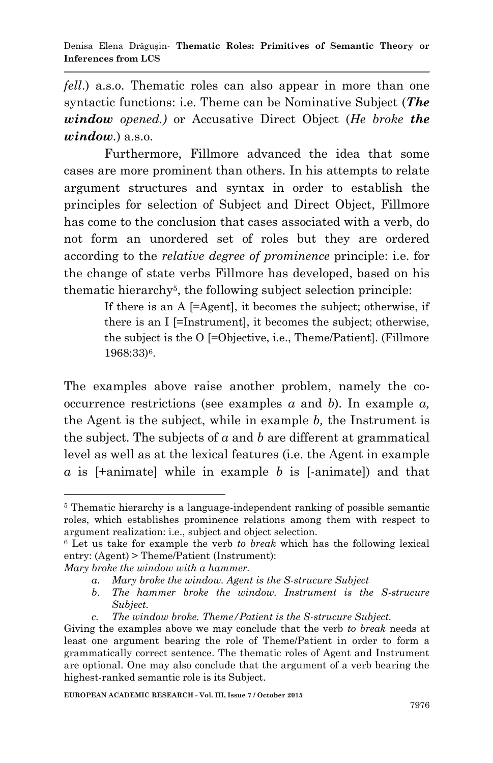*fell*.) a.s.o. Thematic roles can also appear in more than one syntactic functions: i.e. Theme can be Nominative Subject (*The window opened.)* or Accusative Direct Object (*He broke the window.*) a.s.o.

Furthermore, Fillmore advanced the idea that some cases are more prominent than others. In his attempts to relate argument structures and syntax in order to establish the principles for selection of Subject and Direct Object, Fillmore has come to the conclusion that cases associated with a verb, do not form an unordered set of roles but they are ordered according to the *relative degree of prominence* principle: i.e. for the change of state verbs Fillmore has developed, based on his thematic hierarchy<sup>5</sup> , the following subject selection principle:

> If there is an A [=Agent], it becomes the subject; otherwise, if there is an I [=Instrument], it becomes the subject; otherwise, the subject is the O [=Objective, i.e., Theme/Patient]. (Fillmore 1968:33)6.

The examples above raise another problem, namely the cooccurrence restrictions (see examples *a* and *b*). In example *a,* the Agent is the subject, while in example *b,* the Instrument is the subject. The subjects of *a* and *b* are different at grammatical level as well as at the lexical features (i.e. the Agent in example *a* is [+animate] while in example *b* is [-animate]) and that

1

<sup>5</sup> Thematic hierarchy is a language-independent ranking of possible semantic roles, which establishes prominence relations among them with respect to argument realization: i.e., subject and object selection.

<sup>6</sup> Let us take for example the verb *to break* which has the following lexical entry: (Agent) > Theme/Patient (Instrument):

*Mary broke the window with a hammer.*

*a. Mary broke the window. Agent is the S-strucure Subject*

*b. The hammer broke the window. Instrument is the S-strucure Subject.*

*c. The window broke. Theme/Patient is the S-strucure Subject.*

Giving the examples above we may conclude that the verb *to break* needs at least one argument bearing the role of Theme/Patient in order to form a grammatically correct sentence. The thematic roles of Agent and Instrument are optional. One may also conclude that the argument of a verb bearing the highest-ranked semantic role is its Subject.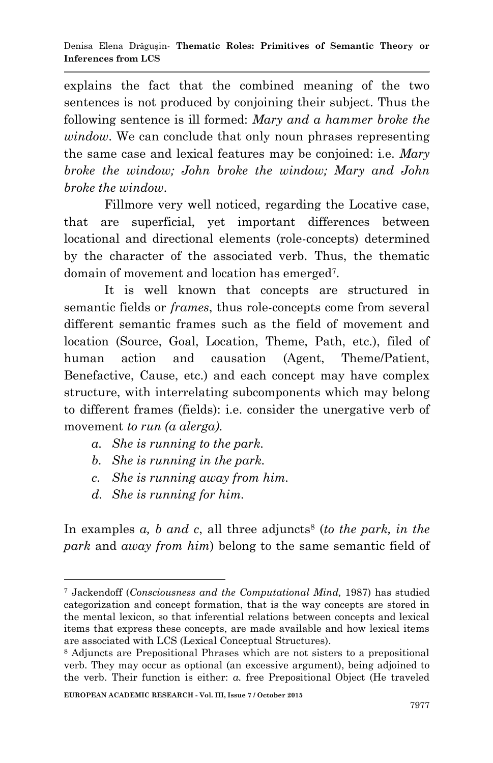explains the fact that the combined meaning of the two sentences is not produced by conjoining their subject. Thus the following sentence is ill formed: *Mary and a hammer broke the window*. We can conclude that only noun phrases representing the same case and lexical features may be conjoined: i.e. *Mary broke the window; John broke the window; Mary and John broke the window*.

Fillmore very well noticed, regarding the Locative case, that are superficial, yet important differences between locational and directional elements (role-concepts) determined by the character of the associated verb. Thus, the thematic domain of movement and location has emerged<sup>7</sup> .

It is well known that concepts are structured in semantic fields or *frames*, thus role-concepts come from several different semantic frames such as the field of movement and location (Source, Goal, Location, Theme, Path, etc.), filed of human action and causation (Agent, Theme/Patient, Benefactive, Cause, etc.) and each concept may have complex structure, with interrelating subcomponents which may belong to different frames (fields): i.e. consider the unergative verb of movement *to run (a alerga).*

- *a. She is running to the park.*
- *b. She is running in the park.*
- *c. She is running away from him.*
- *d. She is running for him.*

In examples *a*, *b* and *c*, all three adjuncts<sup>8</sup> (*to the park*, *in the park* and *away from him*) belong to the same semantic field of

<sup>1</sup> <sup>7</sup> Jackendoff (*Consciousness and the Computational Mind,* 1987) has studied categorization and concept formation, that is the way concepts are stored in the mental lexicon, so that inferential relations between concepts and lexical items that express these concepts, are made available and how lexical items are associated with LCS (Lexical Conceptual Structures).

<sup>8</sup> Adjuncts are Prepositional Phrases which are not sisters to a prepositional verb. They may occur as optional (an excessive argument), being adjoined to the verb. Their function is either: *a.* free Prepositional Object (He traveled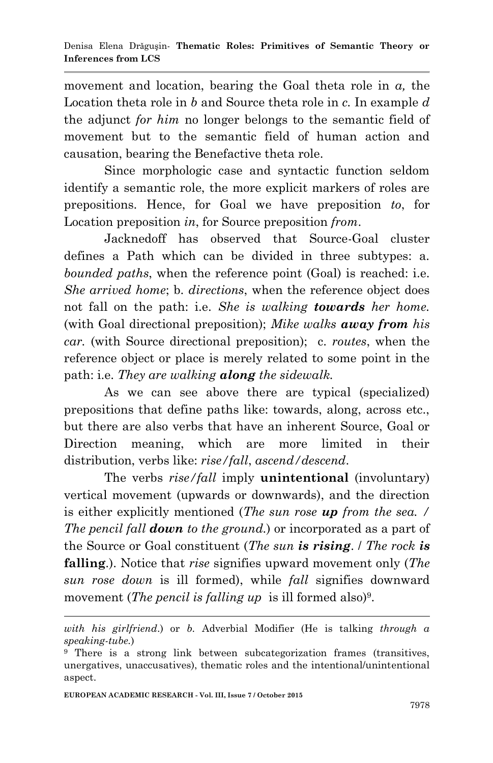movement and location, bearing the Goal theta role in *a,* the Location theta role in *b* and Source theta role in *c.* In example *d*  the adjunct *for him* no longer belongs to the semantic field of movement but to the semantic field of human action and causation, bearing the Benefactive theta role.

Since morphologic case and syntactic function seldom identify a semantic role, the more explicit markers of roles are prepositions. Hence, for Goal we have preposition *to*, for Location preposition *in*, for Source preposition *from*.

Jacknedoff has observed that Source-Goal cluster defines a Path which can be divided in three subtypes: a. *bounded paths*, when the reference point (Goal) is reached: i.e. *She arrived home*; b. *directions*, when the reference object does not fall on the path: i.e. *She is walking towards her home.* (with Goal directional preposition); *Mike walks away from his car.* (with Source directional preposition); c. *routes*, when the reference object or place is merely related to some point in the path: i.e. *They are walking along the sidewalk.*

As we can see above there are typical (specialized) prepositions that define paths like: towards, along, across etc., but there are also verbs that have an inherent Source, Goal or Direction meaning, which are more limited in their distribution, verbs like: *rise/fall*, *ascend/descend*.

The verbs *rise/fall* imply **unintentional** (involuntary) vertical movement (upwards or downwards), and the direction is either explicitly mentioned (*The sun rose up from the sea. / The pencil fall down to the ground.*) or incorporated as a part of the Source or Goal constituent (*The sun is rising*. / *The rock is* **falling**.). Notice that *rise* signifies upward movement only (*The sun rose down* is ill formed), while *fall* signifies downward movement (*The pencil is falling up* is ill formed also)<sup>9</sup>.

**.** 

*with his girlfriend*.) or *b.* Adverbial Modifier (He is talking *through a speaking-tube.*)

<sup>9</sup> There is a strong link between subcategorization frames (transitives, unergatives, unaccusatives), thematic roles and the intentional/unintentional aspect.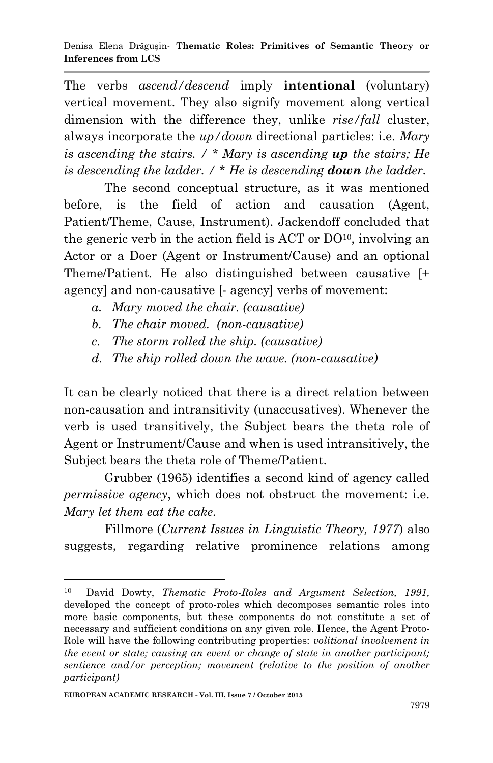The verbs *ascend/descend* imply **intentional** (voluntary) vertical movement. They also signify movement along vertical dimension with the difference they, unlike *rise/fall* cluster, always incorporate the *up/down* directional particles: i.e. *Mary is ascending the stairs. / \* Mary is ascending up the stairs; He is descending the ladder. /* \* *He is descending down the ladder.*

The second conceptual structure, as it was mentioned before, is the field of action and causation (Agent, Patient/Theme, Cause, Instrument). Jackendoff concluded that the generic verb in the action field is  $ACT$  or  $DO<sup>10</sup>$ , involving an Actor or a Doer (Agent or Instrument/Cause) and an optional Theme/Patient. He also distinguished between causative [+ agency] and non-causative [- agency] verbs of movement:

- *a. Mary moved the chair. (causative)*
- *b. The chair moved. (non-causative)*
- *c. The storm rolled the ship. (causative)*
- *d. The ship rolled down the wave. (non-causative)*

It can be clearly noticed that there is a direct relation between non-causation and intransitivity (unaccusatives). Whenever the verb is used transitively, the Subject bears the theta role of Agent or Instrument/Cause and when is used intransitively, the Subject bears the theta role of Theme/Patient.

Grubber (1965) identifies a second kind of agency called *permissive agency*, which does not obstruct the movement: i.e. *Mary let them eat the cake.*

Fillmore (*Current Issues in Linguistic Theory, 1977*) also suggests, regarding relative prominence relations among

1

<sup>10</sup> David Dowty, *Thematic Proto-Roles and Argument Selection, 1991,*  developed the concept of proto-roles which decomposes semantic roles into more basic components, but these components do not constitute a set of necessary and sufficient conditions on any given role. Hence, the Agent Proto-Role will have the following contributing properties: *volitional involvement in the event or state; causing an event or change of state in another participant; sentience and/or perception; movement (relative to the position of another participant)*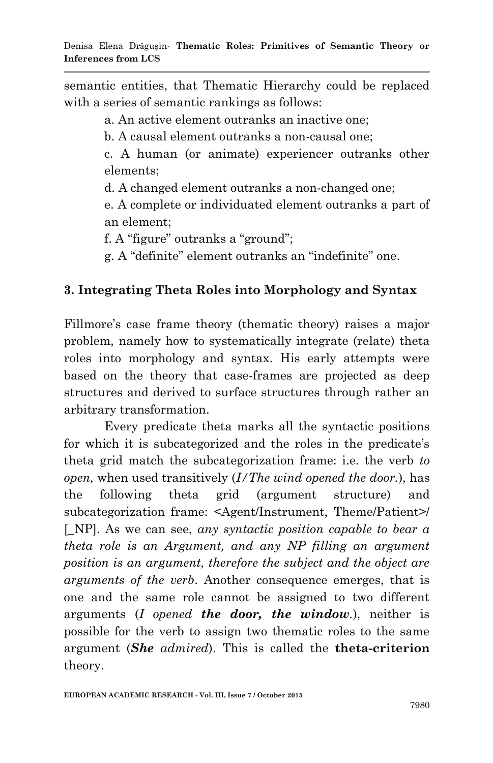semantic entities, that Thematic Hierarchy could be replaced with a series of semantic rankings as follows:

a. An active element outranks an inactive one;

b. A causal element outranks a non-causal one;

c. A human (or animate) experiencer outranks other elements;

d. A changed element outranks a non-changed one;

e. A complete or individuated element outranks a part of an element;

f. A "figure" outranks a "ground";

g. A "definite" element outranks an "indefinite" one.

## **3. Integrating Theta Roles into Morphology and Syntax**

Fillmore's case frame theory (thematic theory) raises a major problem, namely how to systematically integrate (relate) theta roles into morphology and syntax. His early attempts were based on the theory that case-frames are projected as deep structures and derived to surface structures through rather an arbitrary transformation.

Every predicate theta marks all the syntactic positions for which it is subcategorized and the roles in the predicate's theta grid match the subcategorization frame: i.e. the verb *to open,* when used transitively (*I/The wind opened the door.*), has the following theta grid (argument structure) and subcategorization frame: <Agent/Instrument, Theme/Patient>/ [\_NP]. As we can see, *any syntactic position capable to bear a theta role is an Argument, and any NP filling an argument position is an argument, therefore the subject and the object are arguments of the verb*. Another consequence emerges, that is one and the same role cannot be assigned to two different arguments (*I opened the door, the window.*), neither is possible for the verb to assign two thematic roles to the same argument (*She admired*). This is called the **theta-criterion** theory.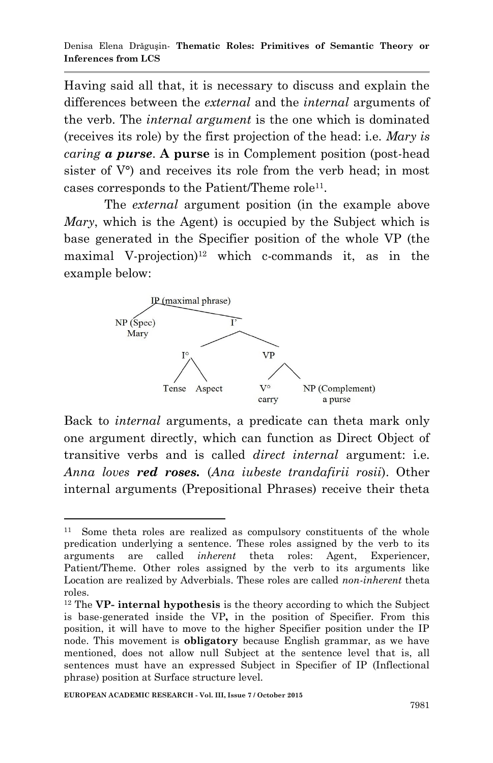Having said all that, it is necessary to discuss and explain the differences between the *external* and the *internal* arguments of the verb. The *internal argument* is the one which is dominated (receives its role) by the first projection of the head: i.e. *Mary is caring a purse*. **A purse** is in Complement position (post-head sister of  $V^{\circ}$  and receives its role from the verb head; in most cases corresponds to the Patient/Theme role<sup>11</sup>.

The *external* argument position (in the example above *Mary*, which is the Agent) is occupied by the Subject which is base generated in the Specifier position of the whole VP (the maximal V-projection)<sup>12</sup> which c-commands it, as in the example below:



Back to *internal* arguments, a predicate can theta mark only one argument directly, which can function as Direct Object of transitive verbs and is called *direct internal* argument: i.e. *Anna loves red roses.* (*Ana iubeste trandafirii rosii*). Other internal arguments (Prepositional Phrases) receive their theta

**<sup>.</sup>** 11 Some theta roles are realized as compulsory constituents of the whole predication underlying a sentence. These roles assigned by the verb to its arguments are called *inherent* theta roles: Agent, Experiencer, Patient/Theme. Other roles assigned by the verb to its arguments like Location are realized by Adverbials. These roles are called *non-inherent* theta roles.

<sup>12</sup> The **VP- internal hypothesis** is the theory according to which the Subject is base-generated inside the VP**,** in the position of Specifier. From this position, it will have to move to the higher Specifier position under the IP node. This movement is **obligatory** because English grammar, as we have mentioned, does not allow null Subject at the sentence level that is, all sentences must have an expressed Subject in Specifier of IP (Inflectional phrase) position at Surface structure level.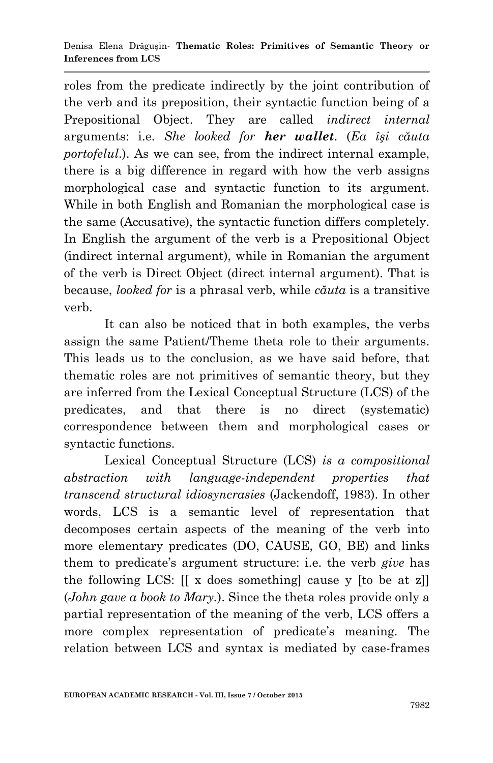roles from the predicate indirectly by the joint contribution of the verb and its preposition, their syntactic function being of a Prepositional Object. They are called *indirect internal*  arguments: i.e. *She looked for her wallet*. (*Ea îşi căuta portofelul*.). As we can see, from the indirect internal example, there is a big difference in regard with how the verb assigns morphological case and syntactic function to its argument. While in both English and Romanian the morphological case is the same (Accusative), the syntactic function differs completely. In English the argument of the verb is a Prepositional Object (indirect internal argument), while in Romanian the argument of the verb is Direct Object (direct internal argument). That is because, *looked for* is a phrasal verb, while *căuta* is a transitive verb.

It can also be noticed that in both examples, the verbs assign the same Patient/Theme theta role to their arguments. This leads us to the conclusion, as we have said before, that thematic roles are not primitives of semantic theory, but they are inferred from the Lexical Conceptual Structure (LCS) of the predicates, and that there is no direct (systematic) correspondence between them and morphological cases or syntactic functions.

Lexical Conceptual Structure (LCS) *is a compositional abstraction with language-independent properties that transcend structural idiosyncrasies* (Jackendoff, 1983). In other words, LCS is a semantic level of representation that decomposes certain aspects of the meaning of the verb into more elementary predicates (DO, CAUSE, GO, BE) and links them to predicate"s argument structure: i.e. the verb *give* has the following LCS: [[ x does something] cause y [to be at z]] (*John gave a book to Mary.*). Since the theta roles provide only a partial representation of the meaning of the verb, LCS offers a more complex representation of predicate's meaning. The relation between LCS and syntax is mediated by case-frames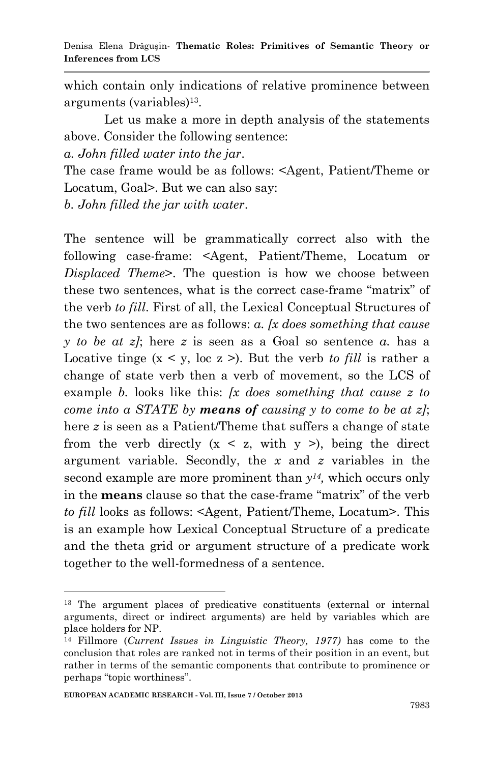which contain only indications of relative prominence between arguments (variables)<sup>13</sup> .

Let us make a more in depth analysis of the statements above. Consider the following sentence:

*a. John filled water into the jar*.

The case frame would be as follows: <Agent, Patient/Theme or Locatum, Goal>. But we can also say:

*b. John filled the jar with water*.

The sentence will be grammatically correct also with the following case-frame: <Agent, Patient/Theme, Locatum or *Displaced Theme*>. The question is how we choose between these two sentences, what is the correct case-frame "matrix" of the verb *to fill*. First of all, the Lexical Conceptual Structures of the two sentences are as follows: *a. [x does something that cause y to be at z]*; here *z* is seen as a Goal so sentence *a.* has a Locative tinge  $(x \le y, \text{loc } z)$ . But the verb *to fill* is rather a change of state verb then a verb of movement, so the LCS of example *b.* looks like this: *[x does something that cause z to come into a STATE by means of causing y to come to be at z]*; here *z* is seen as a Patient/Theme that suffers a change of state from the verb directly  $(x < z, with y >)$ , being the direct argument variable. Secondly, the *x* and *z* variables in the second example are more prominent than *y14,* which occurs only in the **means** clause so that the case-frame "matrix" of the verb *to fill* looks as follows: <Agent, Patient/Theme, Locatum>. This is an example how Lexical Conceptual Structure of a predicate and the theta grid or argument structure of a predicate work together to the well-formedness of a sentence.

**.** 

<sup>&</sup>lt;sup>13</sup> The argument places of predicative constituents (external or internal arguments, direct or indirect arguments) are held by variables which are place holders for NP.

<sup>14</sup> Fillmore (*Current Issues in Linguistic Theory, 1977)* has come to the conclusion that roles are ranked not in terms of their position in an event, but rather in terms of the semantic components that contribute to prominence or perhaps "topic worthiness".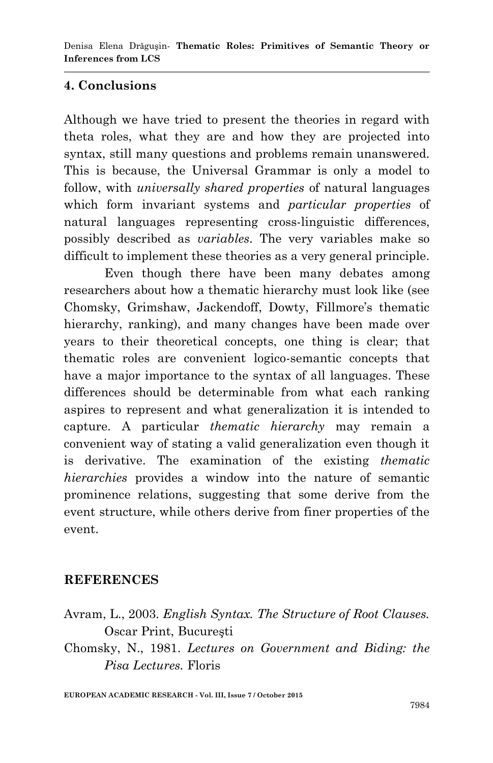## **4. Conclusions**

Although we have tried to present the theories in regard with theta roles, what they are and how they are projected into syntax, still many questions and problems remain unanswered. This is because, the Universal Grammar is only a model to follow, with *universally shared properties* of natural languages which form invariant systems and *particular properties* of natural languages representing cross-linguistic differences, possibly described as *variables*. The very variables make so difficult to implement these theories as a very general principle.

Even though there have been many debates among researchers about how a thematic hierarchy must look like (see Chomsky, Grimshaw, Jackendoff, Dowty, Fillmore's thematic hierarchy, ranking), and many changes have been made over years to their theoretical concepts, one thing is clear; that thematic roles are convenient logico-semantic concepts that have a major importance to the syntax of all languages. These differences should be determinable from what each ranking aspires to represent and what generalization it is intended to capture. A particular *thematic hierarchy* may remain a convenient way of stating a valid generalization even though it is derivative. The examination of the existing *thematic hierarchies* provides a window into the nature of semantic prominence relations, suggesting that some derive from the event structure, while others derive from finer properties of the event.

### **REFERENCES**

Chomsky, N., 1981. *Lectures on Government and Biding: the Pisa Lectures.* Floris

**EUROPEAN ACADEMIC RESEARCH - Vol. III, Issue 7 / October 2015**

Avram, L., 2003. *English Syntax. The Structure of Root Clauses.*  Oscar Print, Bucureşti